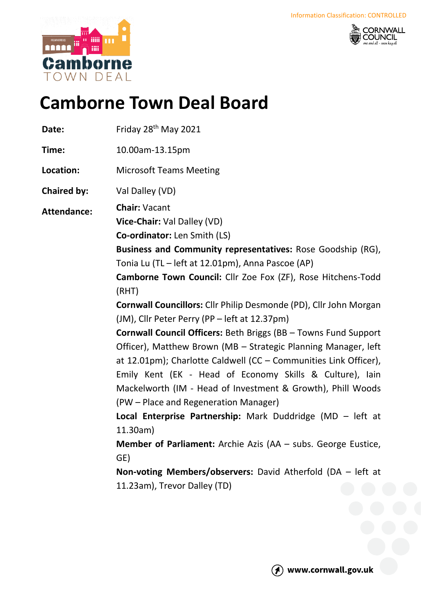



# **Camborne Town Deal Board**

Date: Friday 28<sup>th</sup> May 2021 **Time:** 10.00am-13.15pm **Location:** Microsoft Teams Meeting **Chaired by:** Val Dalley (VD) **Attendance: Chair:** Vacant **Vice-Chair:** Val Dalley (VD) **Co-ordinator:** Len Smith (LS) **Business and Community representatives:** Rose Goodship (RG), Tonia Lu (TL – left at 12.01pm), Anna Pascoe (AP) **Camborne Town Council:** Cllr Zoe Fox (ZF), Rose Hitchens-Todd (RHT) **Cornwall Councillors:** Cllr Philip Desmonde (PD), Cllr John Morgan (JM), Cllr Peter Perry (PP – left at 12.37pm) **Cornwall Council Officers:** Beth Briggs (BB – Towns Fund Support Officer), Matthew Brown (MB – Strategic Planning Manager, left at 12.01pm); Charlotte Caldwell (CC – Communities Link Officer), Emily Kent (EK - Head of Economy Skills & Culture), Iain Mackelworth (IM - Head of Investment & Growth), Phill Woods (PW – Place and Regeneration Manager) **Local Enterprise Partnership:** Mark Duddridge (MD – left at 11.30am) **Member of Parliament:** Archie Azis (AA – subs. George Eustice, GE) **Non-voting Members/observers:** David Atherfold (DA – left at 11.23am), Trevor Dalley (TD)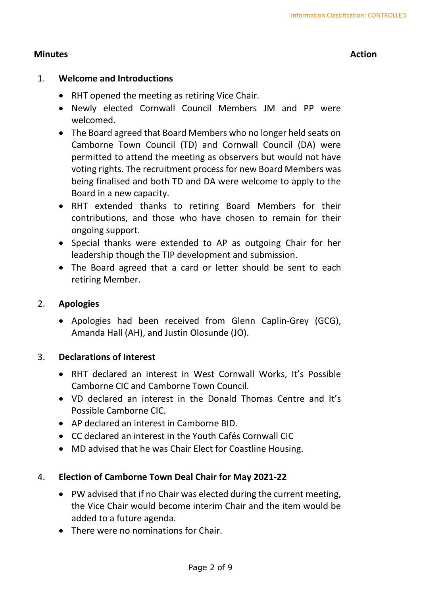# **Minutes Action**

# 1. **Welcome and Introductions**

- RHT opened the meeting as retiring Vice Chair.
- Newly elected Cornwall Council Members JM and PP were welcomed.
- The Board agreed that Board Members who no longer held seats on Camborne Town Council (TD) and Cornwall Council (DA) were permitted to attend the meeting as observers but would not have voting rights. The recruitment process for new Board Members was being finalised and both TD and DA were welcome to apply to the Board in a new capacity.
- RHT extended thanks to retiring Board Members for their contributions, and those who have chosen to remain for their ongoing support.
- Special thanks were extended to AP as outgoing Chair for her leadership though the TIP development and submission.
- The Board agreed that a card or letter should be sent to each retiring Member.

# 2. **Apologies**

• Apologies had been received from Glenn Caplin-Grey (GCG), Amanda Hall (AH), and Justin Olosunde (JO).

#### 3. **Declarations of Interest**

- RHT declared an interest in West Cornwall Works, It's Possible Camborne CIC and Camborne Town Council.
- VD declared an interest in the Donald Thomas Centre and It's Possible Camborne CIC.
- AP declared an interest in Camborne BID.
- CC declared an interest in the Youth Cafés Cornwall CIC
- MD advised that he was Chair Elect for Coastline Housing.

# 4. **Election of Camborne Town Deal Chair for May 2021-22**

- PW advised that if no Chair was elected during the current meeting, the Vice Chair would become interim Chair and the item would be added to a future agenda.
- There were no nominations for Chair.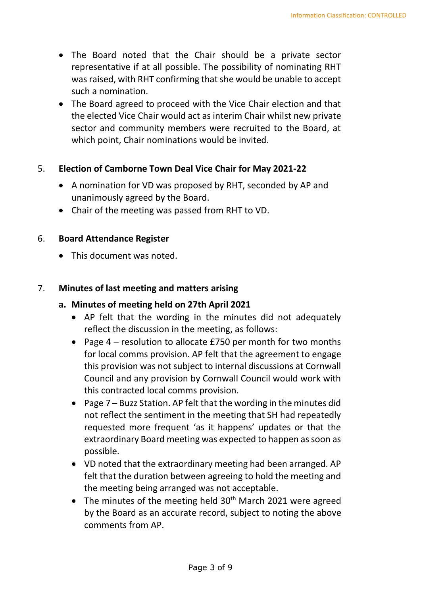- The Board noted that the Chair should be a private sector representative if at all possible. The possibility of nominating RHT was raised, with RHT confirming that she would be unable to accept such a nomination.
- The Board agreed to proceed with the Vice Chair election and that the elected Vice Chair would act as interim Chair whilst new private sector and community members were recruited to the Board, at which point, Chair nominations would be invited.

# 5. **Election of Camborne Town Deal Vice Chair for May 2021-22**

- A nomination for VD was proposed by RHT, seconded by AP and unanimously agreed by the Board.
- Chair of the meeting was passed from RHT to VD.

#### 6. **Board Attendance Register**

• This document was noted.

#### 7. **Minutes of last meeting and matters arising**

#### **a. Minutes of meeting held on 27th April 2021**

- AP felt that the wording in the minutes did not adequately reflect the discussion in the meeting, as follows:
- Page 4 resolution to allocate £750 per month for two months for local comms provision. AP felt that the agreement to engage this provision was not subject to internal discussions at Cornwall Council and any provision by Cornwall Council would work with this contracted local comms provision.
- Page 7 Buzz Station. AP felt that the wording in the minutes did not reflect the sentiment in the meeting that SH had repeatedly requested more frequent 'as it happens' updates or that the extraordinary Board meeting was expected to happen as soon as possible.
- VD noted that the extraordinary meeting had been arranged. AP felt that the duration between agreeing to hold the meeting and the meeting being arranged was not acceptable.
- The minutes of the meeting held  $30<sup>th</sup>$  March 2021 were agreed by the Board as an accurate record, subject to noting the above comments from AP.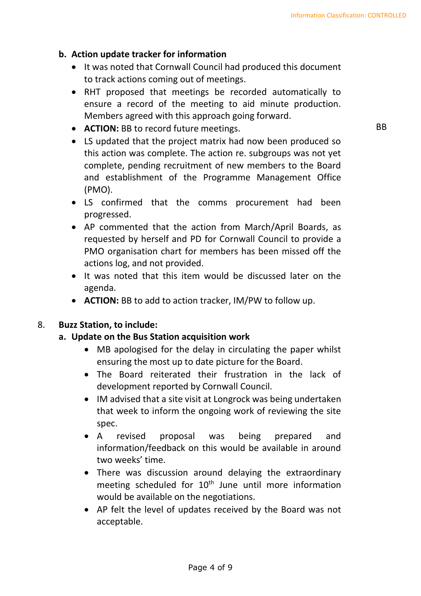# **b. Action update tracker for information**

- It was noted that Cornwall Council had produced this document to track actions coming out of meetings.
- RHT proposed that meetings be recorded automatically to ensure a record of the meeting to aid minute production. Members agreed with this approach going forward.
- **ACTION:** BB to record future meetings.
- LS updated that the project matrix had now been produced so this action was complete. The action re. subgroups was not yet complete, pending recruitment of new members to the Board and establishment of the Programme Management Office (PMO).
- LS confirmed that the comms procurement had been progressed.
- AP commented that the action from March/April Boards, as requested by herself and PD for Cornwall Council to provide a PMO organisation chart for members has been missed off the actions log, and not provided.
- It was noted that this item would be discussed later on the agenda.
- **ACTION:** BB to add to action tracker, IM/PW to follow up.

#### 8. **Buzz Station, to include:**

#### **a. Update on the Bus Station acquisition work**

- MB apologised for the delay in circulating the paper whilst ensuring the most up to date picture for the Board.
- The Board reiterated their frustration in the lack of development reported by Cornwall Council.
- IM advised that a site visit at Longrock was being undertaken that week to inform the ongoing work of reviewing the site spec.
- A revised proposal was being prepared and information/feedback on this would be available in around two weeks' time.
- There was discussion around delaying the extraordinary meeting scheduled for 10<sup>th</sup> June until more information would be available on the negotiations.
- AP felt the level of updates received by the Board was not acceptable.

BB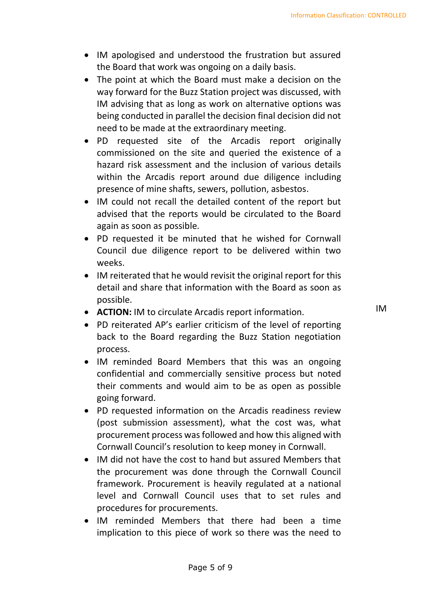- IM apologised and understood the frustration but assured the Board that work was ongoing on a daily basis.
- The point at which the Board must make a decision on the way forward for the Buzz Station project was discussed, with IM advising that as long as work on alternative options was being conducted in parallel the decision final decision did not need to be made at the extraordinary meeting.
- PD requested site of the Arcadis report originally commissioned on the site and queried the existence of a hazard risk assessment and the inclusion of various details within the Arcadis report around due diligence including presence of mine shafts, sewers, pollution, asbestos.
- IM could not recall the detailed content of the report but advised that the reports would be circulated to the Board again as soon as possible.
- PD requested it be minuted that he wished for Cornwall Council due diligence report to be delivered within two weeks.
- IM reiterated that he would revisit the original report for this detail and share that information with the Board as soon as possible.
- **ACTION:** IM to circulate Arcadis report information.
- PD reiterated AP's earlier criticism of the level of reporting back to the Board regarding the Buzz Station negotiation process.
- IM reminded Board Members that this was an ongoing confidential and commercially sensitive process but noted their comments and would aim to be as open as possible going forward.
- PD requested information on the Arcadis readiness review (post submission assessment), what the cost was, what procurement process was followed and how this aligned with Cornwall Council's resolution to keep money in Cornwall.
- IM did not have the cost to hand but assured Members that the procurement was done through the Cornwall Council framework. Procurement is heavily regulated at a national level and Cornwall Council uses that to set rules and procedures for procurements.
- IM reminded Members that there had been a time implication to this piece of work so there was the need to

IM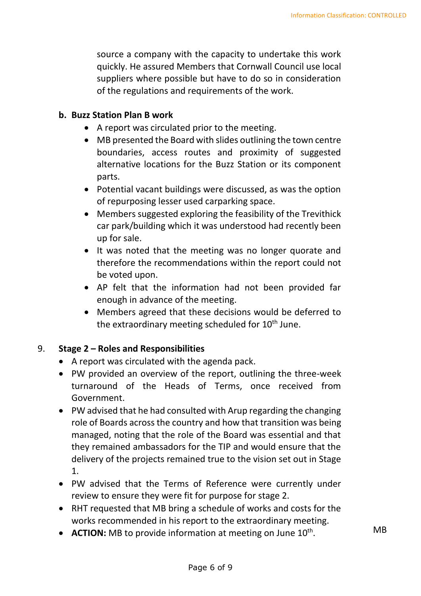. MB

source a company with the capacity to undertake this work quickly. He assured Members that Cornwall Council use local suppliers where possible but have to do so in consideration of the regulations and requirements of the work.

#### **b. Buzz Station Plan B work**

- A report was circulated prior to the meeting.
- MB presented the Board with slides outlining the town centre boundaries, access routes and proximity of suggested alternative locations for the Buzz Station or its component parts.
- Potential vacant buildings were discussed, as was the option of repurposing lesser used carparking space.
- Members suggested exploring the feasibility of the Trevithick car park/building which it was understood had recently been up for sale.
- It was noted that the meeting was no longer quorate and therefore the recommendations within the report could not be voted upon.
- AP felt that the information had not been provided far enough in advance of the meeting.
- Members agreed that these decisions would be deferred to the extraordinary meeting scheduled for 10<sup>th</sup> June.

#### 9. **Stage 2 – Roles and Responsibilities**

- A report was circulated with the agenda pack.
- PW provided an overview of the report, outlining the three-week turnaround of the Heads of Terms, once received from Government.
- PW advised that he had consulted with Arup regarding the changing role of Boards across the country and how that transition was being managed, noting that the role of the Board was essential and that they remained ambassadors for the TIP and would ensure that the delivery of the projects remained true to the vision set out in Stage 1.
- PW advised that the Terms of Reference were currently under review to ensure they were fit for purpose for stage 2.
- RHT requested that MB bring a schedule of works and costs for the works recommended in his report to the extraordinary meeting.
- **ACTION:** MB to provide information at meeting on June 10<sup>th</sup>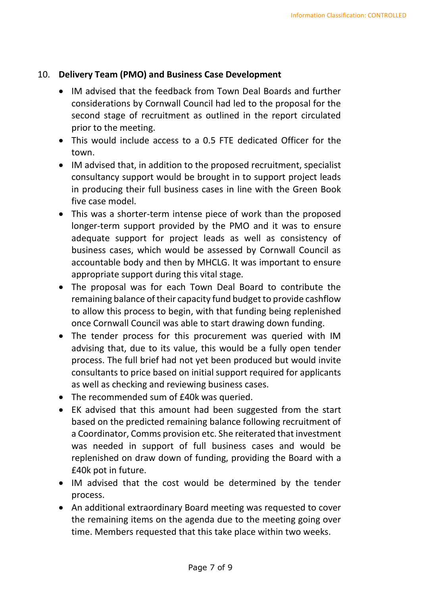### 10. **Delivery Team (PMO) and Business Case Development**

- IM advised that the feedback from Town Deal Boards and further considerations by Cornwall Council had led to the proposal for the second stage of recruitment as outlined in the report circulated prior to the meeting.
- This would include access to a 0.5 FTE dedicated Officer for the town.
- IM advised that, in addition to the proposed recruitment, specialist consultancy support would be brought in to support project leads in producing their full business cases in line with the Green Book five case model.
- This was a shorter-term intense piece of work than the proposed longer-term support provided by the PMO and it was to ensure adequate support for project leads as well as consistency of business cases, which would be assessed by Cornwall Council as accountable body and then by MHCLG. It was important to ensure appropriate support during this vital stage.
- The proposal was for each Town Deal Board to contribute the remaining balance of their capacity fund budget to provide cashflow to allow this process to begin, with that funding being replenished once Cornwall Council was able to start drawing down funding.
- The tender process for this procurement was queried with IM advising that, due to its value, this would be a fully open tender process. The full brief had not yet been produced but would invite consultants to price based on initial support required for applicants as well as checking and reviewing business cases.
- The recommended sum of £40k was queried.
- EK advised that this amount had been suggested from the start based on the predicted remaining balance following recruitment of a Coordinator, Comms provision etc. She reiterated that investment was needed in support of full business cases and would be replenished on draw down of funding, providing the Board with a £40k pot in future.
- IM advised that the cost would be determined by the tender process.
- An additional extraordinary Board meeting was requested to cover the remaining items on the agenda due to the meeting going over time. Members requested that this take place within two weeks.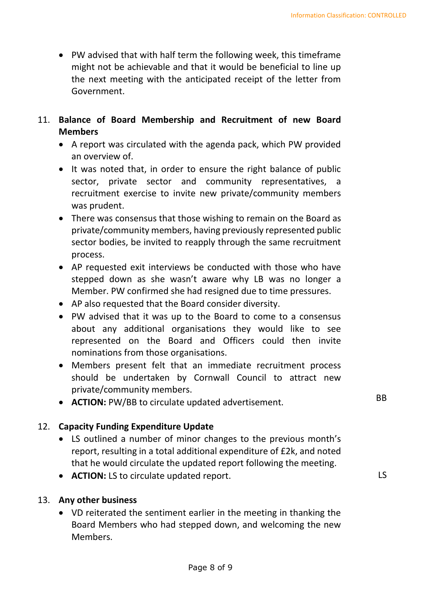- PW advised that with half term the following week, this timeframe might not be achievable and that it would be beneficial to line up the next meeting with the anticipated receipt of the letter from Government.
- 11. **Balance of Board Membership and Recruitment of new Board Members**
	- A report was circulated with the agenda pack, which PW provided an overview of.
	- It was noted that, in order to ensure the right balance of public sector, private sector and community representatives, a recruitment exercise to invite new private/community members was prudent.
	- There was consensus that those wishing to remain on the Board as private/community members, having previously represented public sector bodies, be invited to reapply through the same recruitment process.
	- AP requested exit interviews be conducted with those who have stepped down as she wasn't aware why LB was no longer a Member. PW confirmed she had resigned due to time pressures.
	- AP also requested that the Board consider diversity.
	- PW advised that it was up to the Board to come to a consensus about any additional organisations they would like to see represented on the Board and Officers could then invite nominations from those organisations.
	- Members present felt that an immediate recruitment process should be undertaken by Cornwall Council to attract new private/community members.
	- **ACTION:** PW/BB to circulate updated advertisement.

# 12. **Capacity Funding Expenditure Update**

- LS outlined a number of minor changes to the previous month's report, resulting in a total additional expenditure of £2k, and noted that he would circulate the updated report following the meeting.
- **ACTION:** LS to circulate updated report.

#### 13. **Any other business**

• VD reiterated the sentiment earlier in the meeting in thanking the Board Members who had stepped down, and welcoming the new Members.